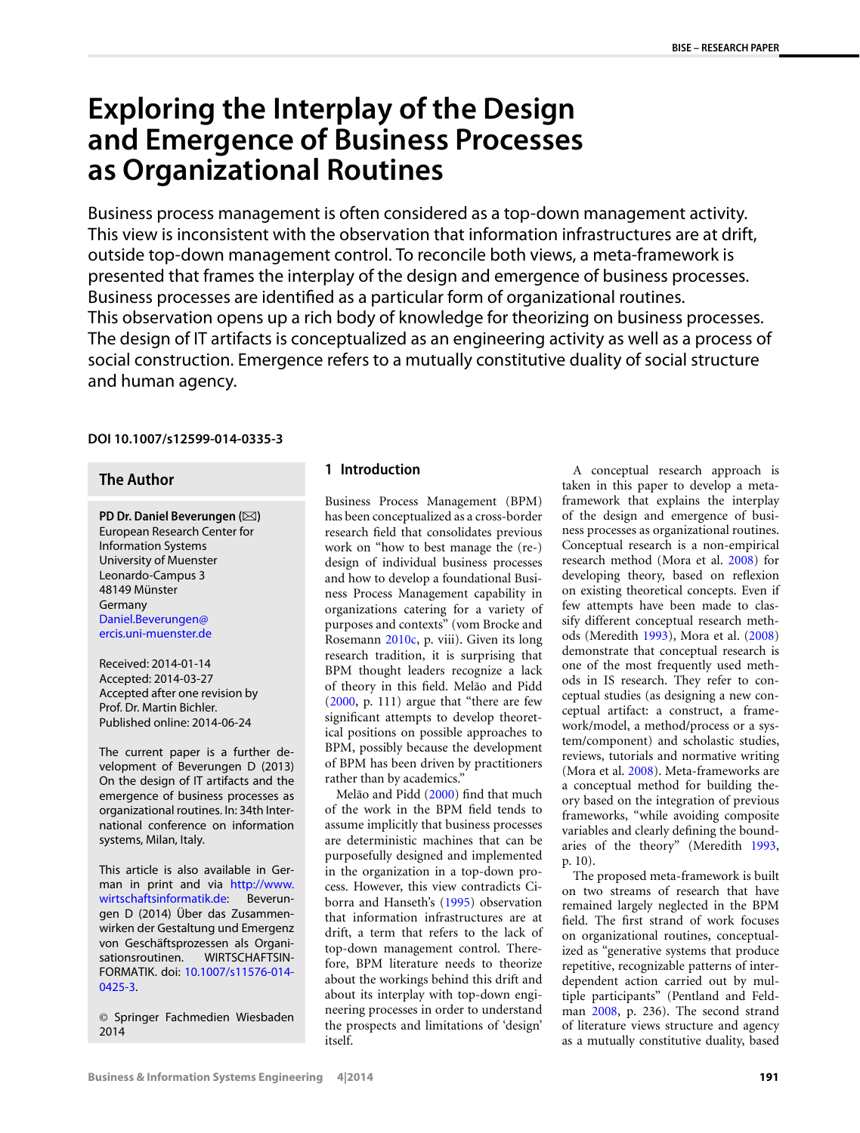# **Exploring the Interplay of the Design and Emergence of Business Processes as Organizational Routines**

Business process management is often considered as a top-down management activity. This view is inconsistent with the observation that information infrastructures are at drift, outside top-down management control. To reconcile both views, a meta-framework is presented that frames the interplay of the design and emergence of business processes. Business processes are identified as a particular form of organizational routines. This observation opens up a rich body of knowledge for theorizing on business processes. The design of IT artifacts is conceptualized as an engineering activity as well as a process of social construction. Emergence refers to a mutually constitutive duality of social structure and human agency.

# **DOI 10.1007/s12599-014-0335-3**

# **The Author**

**PD Dr. Daniel Beverungen (**-**)** European Research Center for Information Systems University of Muenster Leonardo-Campus 3 48149 Münster Germany [Daniel.Beverungen@](mailto:Daniel.Beverungen@ercis.uni-muenster.de) [ercis.uni-muenster.de](mailto:Daniel.Beverungen@ercis.uni-muenster.de)

Received: 2014-01-14 Accepted: 2014-03-27 Accepted after one revision by Prof. Dr. Martin Bichler. Published online: 2014-06-24

The current paper is a further development of Beverungen D (2013) On the design of IT artifacts and the emergence of business processes as organizational routines. In: 34th International conference on information systems, Milan, Italy.

This article is also available in German in print and via [http://www.](http://www.wirtschaftsinformatik.de) [wirtschaftsinformatik.de:](http://www.wirtschaftsinformatik.de) Beverungen D (2014) Über das Zusammenwirken der Gestaltung und Emergenz von Geschäftsprozessen als Organisationsroutinen. WIRTSCHAFTSIN-FORMATIK. doi: [10.1007/s11576-014-](http://dx.doi.org/10.1007/s11576-014-0425-3) [0425-3.](http://dx.doi.org/10.1007/s11576-014-0425-3)

© Springer Fachmedien Wiesbaden 2014

# **1 Introduction**

Business Process Management (BPM) has been conceptualized as a cross-border research field that consolidates previous work on "how to best manage the (re-) design of individual business processes and how to develop a foundational Business Process Management capability in organizations catering for a variety of purposes and contexts" (vom Brocke and Rosemann [2010c](#page-11-0), p. viii). Given its long research tradition, it is surprising that BPM thought leaders recognize a lack of theory in this field. Melão and Pidd [\(2000,](#page-10-0) p. 111) argue that "there are few significant attempts to develop theoretical positions on possible approaches to BPM, possibly because the development of BPM has been driven by practitioners rather than by academics."

Melão and Pidd [\(2000](#page-10-0)) find that much of the work in the BPM field tends to assume implicitly that business processes are deterministic machines that can be purposefully designed and implemented in the organization in a top-down process. However, this view contradicts Ciborra and Hanseth's [\(1995](#page-9-0)) observation that information infrastructures are at drift, a term that refers to the lack of top-down management control. Therefore, BPM literature needs to theorize about the workings behind this drift and about its interplay with top-down engineering processes in order to understand the prospects and limitations of 'design' itself.

A conceptual research approach is taken in this paper to develop a metaframework that explains the interplay of the design and emergence of business processes as organizational routines. Conceptual research is a non-empirical research method (Mora et al. [2008\)](#page-10-1) for developing theory, based on reflexion on existing theoretical concepts. Even if few attempts have been made to classify different conceptual research methods (Meredith [1993\)](#page-10-2), Mora et al. [\(2008\)](#page-10-1) demonstrate that conceptual research is one of the most frequently used methods in IS research. They refer to conceptual studies (as designing a new conceptual artifact: a construct, a framework/model, a method/process or a system/component) and scholastic studies, reviews, tutorials and normative writing (Mora et al. [2008](#page-10-1)). Meta-frameworks are a conceptual method for building theory based on the integration of previous frameworks, "while avoiding composite variables and clearly defining the boundaries of the theory" (Meredith [1993,](#page-10-2) p. 10).

The proposed meta-framework is built on two streams of research that have remained largely neglected in the BPM field. The first strand of work focuses on organizational routines, conceptualized as "generative systems that produce repetitive, recognizable patterns of interdependent action carried out by multiple participants" (Pentland and Feldman [2008](#page-10-3), p. 236). The second strand of literature views structure and agency as a mutually constitutive duality, based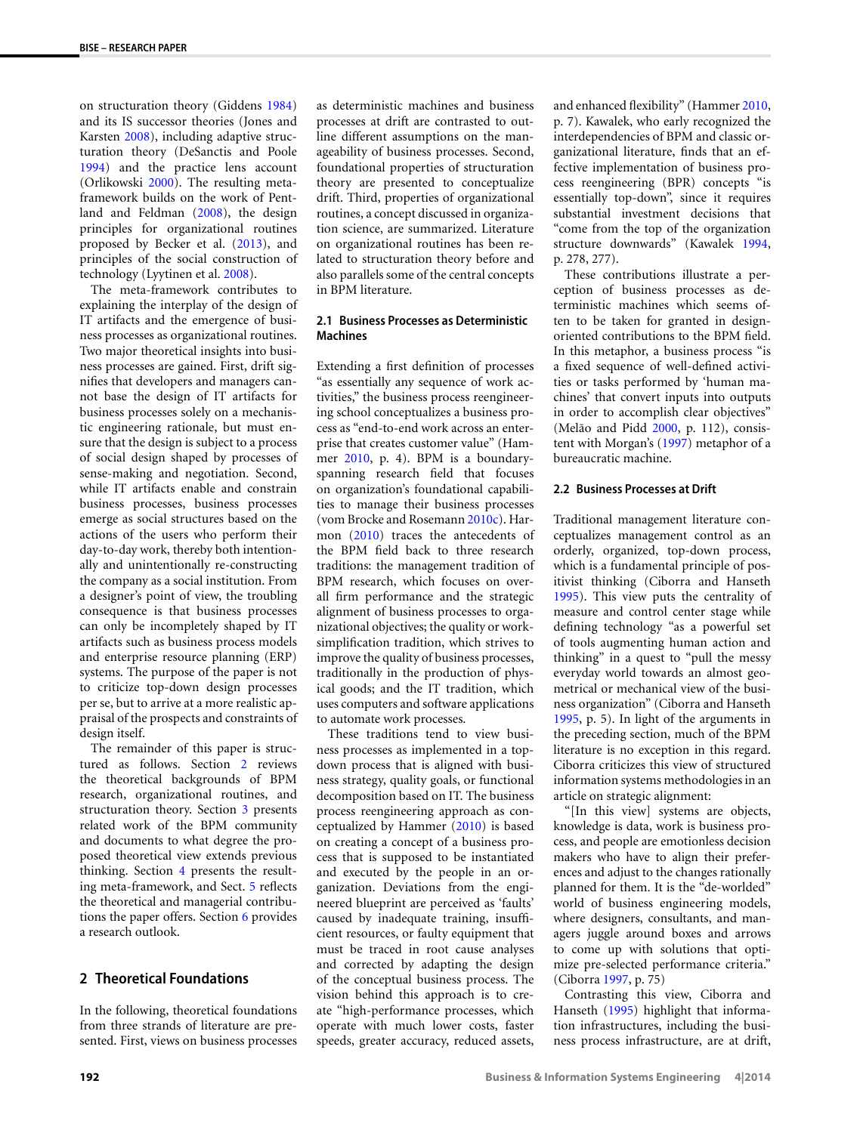on structuration theory (Giddens [1984](#page-10-4)) and its IS successor theories (Jones and Karsten [2008\)](#page-10-5), including adaptive structuration theory (DeSanctis and Poole [1994](#page-9-1)) and the practice lens account (Orlikowski [2000](#page-10-6)). The resulting metaframework builds on the work of Pentland and Feldman ([2008\)](#page-10-3), the design principles for organizational routines proposed by Becker et al. [\(2013](#page-9-2)), and principles of the social construction of technology (Lyytinen et al. [2008\)](#page-10-7).

The meta-framework contributes to explaining the interplay of the design of IT artifacts and the emergence of business processes as organizational routines. Two major theoretical insights into business processes are gained. First, drift signifies that developers and managers cannot base the design of IT artifacts for business processes solely on a mechanistic engineering rationale, but must ensure that the design is subject to a process of social design shaped by processes of sense-making and negotiation. Second, while IT artifacts enable and constrain business processes, business processes emerge as social structures based on the actions of the users who perform their day-to-day work, thereby both intentionally and unintentionally re-constructing the company as a social institution. From a designer's point of view, the troubling consequence is that business processes can only be incompletely shaped by IT artifacts such as business process models and enterprise resource planning (ERP) systems. The purpose of the paper is not to criticize top-down design processes per se, but to arrive at a more realistic appraisal of the prospects and constraints of design itself.

The remainder of this paper is structured as follows. Section [2](#page-1-0) reviews the theoretical backgrounds of BPM research, organizational routines, and structuration theory. Section [3](#page-3-0) presents related work of the BPM community and documents to what degree the proposed theoretical view extends previous thinking. Section [4](#page-4-0) presents the resulting meta-framework, and Sect. [5](#page-7-0) reflects the theoretical and managerial contributions the paper offers. Section [6](#page-8-0) provides a research outlook.

# <span id="page-1-0"></span>**2 Theoretical Foundations**

In the following, theoretical foundations from three strands of literature are presented. First, views on business processes

as deterministic machines and business processes at drift are contrasted to outline different assumptions on the manageability of business processes. Second, foundational properties of structuration theory are presented to conceptualize drift. Third, properties of organizational routines, a concept discussed in organization science, are summarized. Literature on organizational routines has been related to structuration theory before and also parallels some of the central concepts in BPM literature.

## **2.1 Business Processes as Deterministic Machines**

Extending a first definition of processes "as essentially any sequence of work activities," the business process reengineering school conceptualizes a business process as "end-to-end work across an enterprise that creates customer value" (Hammer [2010,](#page-10-8) p. 4). BPM is a boundaryspanning research field that focuses on organization's foundational capabilities to manage their business processes (vom Brocke and Rosemann [2010c\)](#page-11-0). Harmon ([2010\)](#page-10-9) traces the antecedents of the BPM field back to three research traditions: the management tradition of BPM research, which focuses on overall firm performance and the strategic alignment of business processes to organizational objectives; the quality or worksimplification tradition, which strives to improve the quality of business processes, traditionally in the production of physical goods; and the IT tradition, which uses computers and software applications to automate work processes.

These traditions tend to view business processes as implemented in a topdown process that is aligned with business strategy, quality goals, or functional decomposition based on IT. The business process reengineering approach as conceptualized by Hammer [\(2010\)](#page-10-8) is based on creating a concept of a business process that is supposed to be instantiated and executed by the people in an organization. Deviations from the engineered blueprint are perceived as 'faults' caused by inadequate training, insufficient resources, or faulty equipment that must be traced in root cause analyses and corrected by adapting the design of the conceptual business process. The vision behind this approach is to create "high-performance processes, which operate with much lower costs, faster speeds, greater accuracy, reduced assets,

and enhanced flexibility" (Hammer [2010,](#page-10-8) p. 7). Kawalek, who early recognized the interdependencies of BPM and classic organizational literature, finds that an effective implementation of business process reengineering (BPR) concepts "is essentially top-down", since it requires substantial investment decisions that "come from the top of the organization structure downwards" (Kawalek [1994,](#page-10-10) p. 278, 277).

These contributions illustrate a perception of business processes as deterministic machines which seems often to be taken for granted in designoriented contributions to the BPM field. In this metaphor, a business process "is a fixed sequence of well-defined activities or tasks performed by 'human machines' that convert inputs into outputs in order to accomplish clear objectives" (Melão and Pidd [2000,](#page-10-0) p. 112), consistent with Morgan's [\(1997\)](#page-10-11) metaphor of a bureaucratic machine.

## **2.2 Business Processes at Drift**

Traditional management literature conceptualizes management control as an orderly, organized, top-down process, which is a fundamental principle of positivist thinking (Ciborra and Hanseth [1995](#page-9-0)). This view puts the centrality of measure and control center stage while defining technology "as a powerful set of tools augmenting human action and thinking" in a quest to "pull the messy everyday world towards an almost geometrical or mechanical view of the business organization" (Ciborra and Hanseth [1995](#page-9-0), p. 5). In light of the arguments in the preceding section, much of the BPM literature is no exception in this regard. Ciborra criticizes this view of structured information systems methodologies in an article on strategic alignment:

"[In this view] systems are objects, knowledge is data, work is business process, and people are emotionless decision makers who have to align their preferences and adjust to the changes rationally planned for them. It is the "de-worlded" world of business engineering models, where designers, consultants, and managers juggle around boxes and arrows to come up with solutions that optimize pre-selected performance criteria." (Ciborra [1997](#page-9-3), p. 75)

Contrasting this view, Ciborra and Hanseth ([1995](#page-9-0)) highlight that information infrastructures, including the business process infrastructure, are at drift,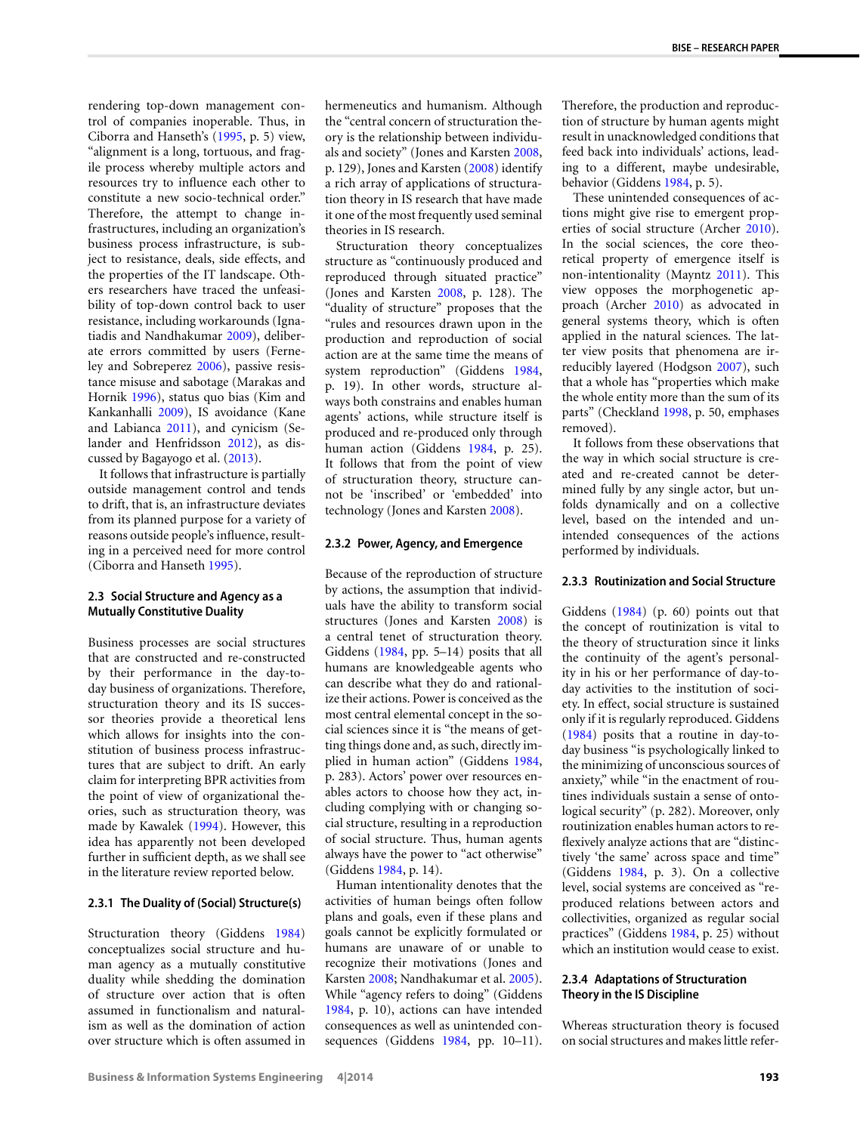rendering top-down management control of companies inoperable. Thus, in Ciborra and Hanseth's ([1995](#page-9-0), p. 5) view, "alignment is a long, tortuous, and fragile process whereby multiple actors and resources try to influence each other to constitute a new socio-technical order." Therefore, the attempt to change infrastructures, including an organization's business process infrastructure, is subject to resistance, deals, side effects, and the properties of the IT landscape. Others researchers have traced the unfeasibility of top-down control back to user resistance, including workarounds (Ignatiadis and Nandhakumar [2009\)](#page-10-12), deliberate errors committed by users (Ferneley and Sobreperez [2006](#page-9-4)), passive resistance misuse and sabotage (Marakas and Hornik [1996\)](#page-10-13), status quo bias (Kim and Kankanhalli [2009](#page-10-14)), IS avoidance (Kane and Labianca [2011](#page-10-15)), and cynicism (Selander and Henfridsson [2012\)](#page-10-16), as discussed by Bagayogo et al. ([2013](#page-9-5)).

It follows that infrastructure is partially outside management control and tends to drift, that is, an infrastructure deviates from its planned purpose for a variety of reasons outside people's influence, resulting in a perceived need for more control (Ciborra and Hanseth [1995\)](#page-9-0).

## **2.3 Social Structure and Agency as a Mutually Constitutive Duality**

Business processes are social structures that are constructed and re-constructed by their performance in the day-today business of organizations. Therefore, structuration theory and its IS successor theories provide a theoretical lens which allows for insights into the constitution of business process infrastructures that are subject to drift. An early claim for interpreting BPR activities from the point of view of organizational theories, such as structuration theory, was made by Kawalek ([1994\)](#page-10-10). However, this idea has apparently not been developed further in sufficient depth, as we shall see in the literature review reported below.

#### **2.3.1 The Duality of (Social) Structure(s)**

Structuration theory (Giddens [1984](#page-10-4)) conceptualizes social structure and human agency as a mutually constitutive duality while shedding the domination of structure over action that is often assumed in functionalism and naturalism as well as the domination of action over structure which is often assumed in hermeneutics and humanism. Although the "central concern of structuration theory is the relationship between individuals and society" (Jones and Karsten [2008,](#page-10-5) p. 129), Jones and Karsten [\(2008\)](#page-10-5) identify a rich array of applications of structuration theory in IS research that have made it one of the most frequently used seminal theories in IS research.

Structuration theory conceptualizes structure as "continuously produced and reproduced through situated practice" (Jones and Karsten [2008](#page-10-5), p. 128). The "duality of structure" proposes that the "rules and resources drawn upon in the production and reproduction of social action are at the same time the means of system reproduction" (Giddens [1984,](#page-10-4) p. 19). In other words, structure always both constrains and enables human agents' actions, while structure itself is produced and re-produced only through human action (Giddens [1984](#page-10-4), p. 25). It follows that from the point of view of structuration theory, structure cannot be 'inscribed' or 'embedded' into technology (Jones and Karsten [2008\)](#page-10-5).

#### **2.3.2 Power, Agency, and Emergence**

Because of the reproduction of structure by actions, the assumption that individuals have the ability to transform social structures (Jones and Karsten [2008](#page-10-5)) is a central tenet of structuration theory. Giddens [\(1984](#page-10-4), pp. 5–14) posits that all humans are knowledgeable agents who can describe what they do and rationalize their actions. Power is conceived as the most central elemental concept in the social sciences since it is "the means of getting things done and, as such, directly implied in human action" (Giddens [1984,](#page-10-4) p. 283). Actors' power over resources enables actors to choose how they act, including complying with or changing social structure, resulting in a reproduction of social structure. Thus, human agents always have the power to "act otherwise" (Giddens [1984](#page-10-4), p. 14).

Human intentionality denotes that the activities of human beings often follow plans and goals, even if these plans and goals cannot be explicitly formulated or humans are unaware of or unable to recognize their motivations (Jones and Karsten [2008](#page-10-5); Nandhakumar et al. [2005](#page-10-17)). While "agency refers to doing" (Giddens [1984](#page-10-4), p. 10), actions can have intended consequences as well as unintended con-sequences (Giddens [1984](#page-10-4), pp. 10-11). Therefore, the production and reproduction of structure by human agents might result in unacknowledged conditions that feed back into individuals' actions, leading to a different, maybe undesirable, behavior (Giddens [1984,](#page-10-4) p. 5).

These unintended consequences of actions might give rise to emergent properties of social structure (Archer [2010](#page-9-6)). In the social sciences, the core theoretical property of emergence itself is non-intentionality (Mayntz [2011](#page-10-18)). This view opposes the morphogenetic approach (Archer [2010\)](#page-9-6) as advocated in general systems theory, which is often applied in the natural sciences. The latter view posits that phenomena are irreducibly layered (Hodgson [2007\)](#page-10-19), such that a whole has "properties which make the whole entity more than the sum of its parts" (Checkland [1998](#page-9-7), p. 50, emphases removed).

It follows from these observations that the way in which social structure is created and re-created cannot be determined fully by any single actor, but unfolds dynamically and on a collective level, based on the intended and unintended consequences of the actions performed by individuals.

#### **2.3.3 Routinization and Social Structure**

Giddens ([1984](#page-10-4)) (p. 60) points out that the concept of routinization is vital to the theory of structuration since it links the continuity of the agent's personality in his or her performance of day-today activities to the institution of society. In effect, social structure is sustained only if it is regularly reproduced. Giddens [\(1984\)](#page-10-4) posits that a routine in day-today business "is psychologically linked to the minimizing of unconscious sources of anxiety," while "in the enactment of routines individuals sustain a sense of ontological security" (p. 282). Moreover, only routinization enables human actors to reflexively analyze actions that are "distinctively 'the same' across space and time" (Giddens [1984](#page-10-4), p. 3). On a collective level, social systems are conceived as "reproduced relations between actors and collectivities, organized as regular social practices" (Giddens [1984,](#page-10-4) p. 25) without which an institution would cease to exist.

## **2.3.4 Adaptations of Structuration Theory in the IS Discipline**

Whereas structuration theory is focused on social structures and makes little refer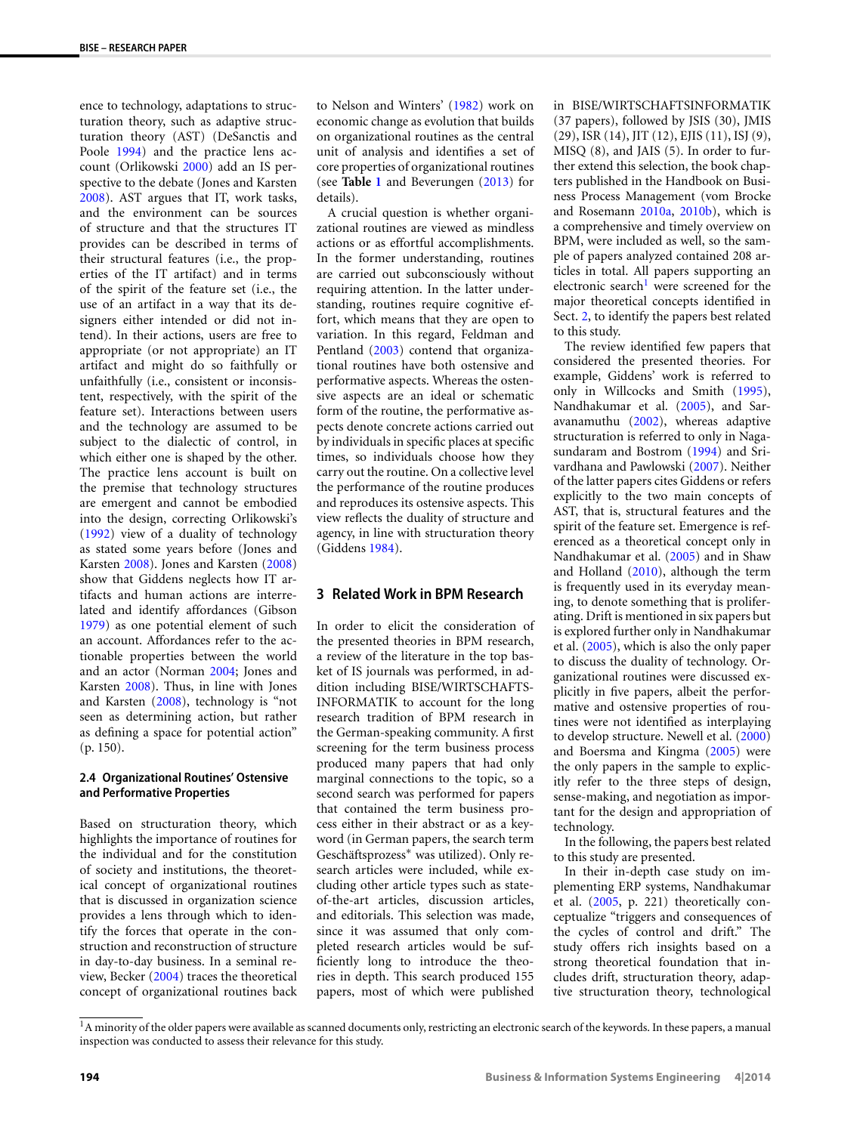ence to technology, adaptations to structuration theory, such as adaptive structuration theory (AST) (DeSanctis and Poole [1994](#page-9-1)) and the practice lens account (Orlikowski [2000\)](#page-10-6) add an IS perspective to the debate (Jones and Karsten [2008](#page-10-5)). AST argues that IT, work tasks, and the environment can be sources of structure and that the structures IT provides can be described in terms of their structural features (i.e., the properties of the IT artifact) and in terms of the spirit of the feature set (i.e., the use of an artifact in a way that its designers either intended or did not intend). In their actions, users are free to appropriate (or not appropriate) an IT artifact and might do so faithfully or unfaithfully (i.e., consistent or inconsistent, respectively, with the spirit of the feature set). Interactions between users and the technology are assumed to be subject to the dialectic of control, in which either one is shaped by the other. The practice lens account is built on the premise that technology structures are emergent and cannot be embodied into the design, correcting Orlikowski's [\(1992](#page-10-20)) view of a duality of technology as stated some years before (Jones and Karsten [2008\)](#page-10-5). Jones and Karsten [\(2008](#page-10-5)) show that Giddens neglects how IT artifacts and human actions are interrelated and identify affordances (Gibson [1979](#page-10-21)) as one potential element of such an account. Affordances refer to the actionable properties between the world and an actor (Norman [2004;](#page-10-22) Jones and Karsten [2008](#page-10-5)). Thus, in line with Jones and Karsten [\(2008\)](#page-10-5), technology is "not seen as determining action, but rather as defining a space for potential action"  $(p. 150)$ .

## **2.4 Organizational Routines' Ostensive and Performative Properties**

<span id="page-3-1"></span>Based on structuration theory, which highlights the importance of routines for the individual and for the constitution of society and institutions, the theoretical concept of organizational routines that is discussed in organization science provides a lens through which to identify the forces that operate in the construction and reconstruction of structure in day-to-day business. In a seminal review, Becker [\(2004\)](#page-9-8) traces the theoretical concept of organizational routines back to Nelson and Winters' [\(1982](#page-10-23)) work on economic change as evolution that builds on organizational routines as the central unit of analysis and identifies a set of core properties of organizational routines (see **Table [1](#page-5-0)** and Beverungen ([2013](#page-9-9)) for details).

A crucial question is whether organizational routines are viewed as mindless actions or as effortful accomplishments. In the former understanding, routines are carried out subconsciously without requiring attention. In the latter understanding, routines require cognitive effort, which means that they are open to variation. In this regard, Feldman and Pentland ([2003\)](#page-9-10) contend that organizational routines have both ostensive and performative aspects. Whereas the ostensive aspects are an ideal or schematic form of the routine, the performative aspects denote concrete actions carried out by individuals in specific places at specific times, so individuals choose how they carry out the routine. On a collective level the performance of the routine produces and reproduces its ostensive aspects. This view reflects the duality of structure and agency, in line with structuration theory (Giddens [1984](#page-10-4)).

# <span id="page-3-0"></span>**3 Related Work in BPM Research**

In order to elicit the consideration of the presented theories in BPM research, a review of the literature in the top basket of IS journals was performed, in addition including BISE/WIRTSCHAFTS-INFORMATIK to account for the long research tradition of BPM research in the German-speaking community. A first screening for the term business process produced many papers that had only marginal connections to the topic, so a second search was performed for papers that contained the term business process either in their abstract or as a keyword (in German papers, the search term Geschäftsprozess<sup>∗</sup> was utilized). Only research articles were included, while excluding other article types such as stateof-the-art articles, discussion articles, and editorials. This selection was made, since it was assumed that only completed research articles would be sufficiently long to introduce the theories in depth. This search produced 155 papers, most of which were published in BISE/WIRTSCHAFTSINFORMATIK (37 papers), followed by JSIS (30), JMIS (29), ISR (14), JIT (12), EJIS (11), ISJ (9), MISQ (8), and JAIS (5). In order to further extend this selection, the book chapters published in the Handbook on Business Process Management (vom Brocke and Rosemann [2010a](#page-10-24), [2010b](#page-10-25)), which is a comprehensive and timely overview on BPM, were included as well, so the sample of papers analyzed contained 208 articles in total. All papers supporting an electronic search<sup>[1](#page-3-1)</sup> were screened for the major theoretical concepts identified in Sect. [2](#page-1-0), to identify the papers best related to this study.

The review identified few papers that considered the presented theories. For example, Giddens' work is referred to only in Willcocks and Smith [\(1995](#page-11-1)), Nandhakumar et al. ([2005\)](#page-10-17), and Saravanamuthu [\(2002](#page-10-26)), whereas adaptive structuration is referred to only in Nagasundaram and Bostrom ([1994\)](#page-10-27) and Srivardhana and Pawlowski ([2007](#page-10-28)). Neither of the latter papers cites Giddens or refers explicitly to the two main concepts of AST, that is, structural features and the spirit of the feature set. Emergence is referenced as a theoretical concept only in Nandhakumar et al. [\(2005](#page-10-17)) and in Shaw and Holland [\(2010](#page-10-29)), although the term is frequently used in its everyday meaning, to denote something that is proliferating. Drift is mentioned in six papers but is explored further only in Nandhakumar et al. ([2005\)](#page-10-17), which is also the only paper to discuss the duality of technology. Organizational routines were discussed explicitly in five papers, albeit the performative and ostensive properties of routines were not identified as interplaying to develop structure. Newell et al. [\(2000\)](#page-10-30) and Boersma and Kingma ([2005\)](#page-9-11) were the only papers in the sample to explicitly refer to the three steps of design, sense-making, and negotiation as important for the design and appropriation of technology.

In the following, the papers best related to this study are presented.

In their in-depth case study on implementing ERP systems, Nandhakumar et al. [\(2005](#page-10-17), p. 221) theoretically conceptualize "triggers and consequences of the cycles of control and drift." The study offers rich insights based on a strong theoretical foundation that includes drift, structuration theory, adaptive structuration theory, technological

<sup>&</sup>lt;sup>1</sup>A minority of the older papers were available as scanned documents only, restricting an electronic search of the keywords. In these papers, a manual inspection was conducted to assess their relevance for this study.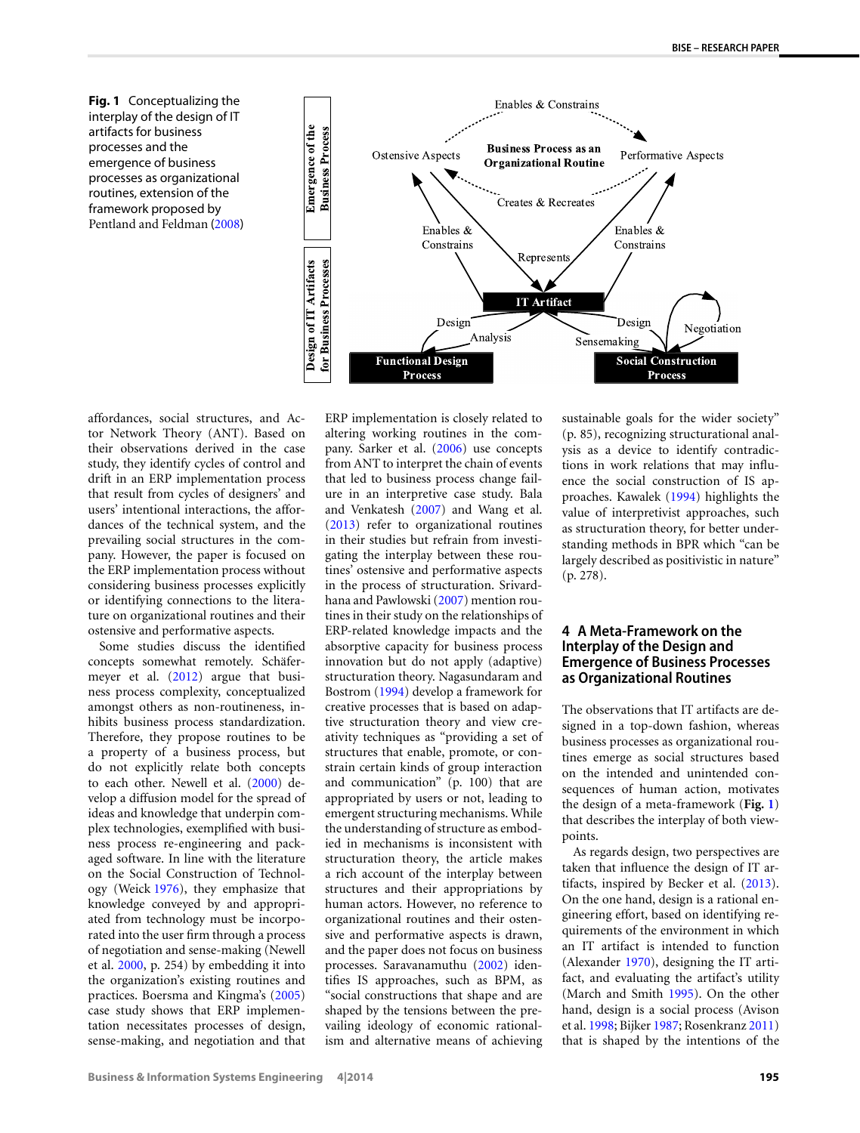<span id="page-4-1"></span>**Fig. 1** Conceptualizing the interplay of the design of IT artifacts for business processes and the emergence of business processes as organizational routines, extension of the framework proposed by Pentland and Feldman ([2008](#page-10-3))



affordances, social structures, and Actor Network Theory (ANT). Based on their observations derived in the case study, they identify cycles of control and drift in an ERP implementation process that result from cycles of designers' and users' intentional interactions, the affordances of the technical system, and the prevailing social structures in the company. However, the paper is focused on the ERP implementation process without considering business processes explicitly or identifying connections to the literature on organizational routines and their ostensive and performative aspects.

Some studies discuss the identified concepts somewhat remotely. Schäfermeyer et al. [\(2012](#page-10-31)) argue that business process complexity, conceptualized amongst others as non-routineness, inhibits business process standardization. Therefore, they propose routines to be a property of a business process, but do not explicitly relate both concepts to each other. Newell et al. ([2000\)](#page-10-30) develop a diffusion model for the spread of ideas and knowledge that underpin complex technologies, exemplified with business process re-engineering and packaged software. In line with the literature on the Social Construction of Technology (Weick [1976\)](#page-11-2), they emphasize that knowledge conveyed by and appropriated from technology must be incorporated into the user firm through a process of negotiation and sense-making (Newell et al. [2000](#page-10-30), p. 254) by embedding it into the organization's existing routines and practices. Boersma and Kingma's [\(2005](#page-9-11)) case study shows that ERP implementation necessitates processes of design, sense-making, and negotiation and that ERP implementation is closely related to altering working routines in the company. Sarker et al. ([2006\)](#page-10-32) use concepts from ANT to interpret the chain of events that led to business process change failure in an interpretive case study. Bala and Venkatesh ([2007\)](#page-9-12) and Wang et al. [\(2013\)](#page-11-3) refer to organizational routines in their studies but refrain from investigating the interplay between these routines' ostensive and performative aspects in the process of structuration. Srivardhana and Pawlowski ([2007\)](#page-10-28) mention routines in their study on the relationships of ERP-related knowledge impacts and the absorptive capacity for business process innovation but do not apply (adaptive) structuration theory. Nagasundaram and Bostrom [\(1994\)](#page-10-27) develop a framework for creative processes that is based on adaptive structuration theory and view creativity techniques as "providing a set of structures that enable, promote, or constrain certain kinds of group interaction and communication" (p. 100) that are appropriated by users or not, leading to emergent structuring mechanisms. While the understanding of structure as embodied in mechanisms is inconsistent with structuration theory, the article makes a rich account of the interplay between structures and their appropriations by human actors. However, no reference to organizational routines and their ostensive and performative aspects is drawn, and the paper does not focus on business processes. Saravanamuthu [\(2002](#page-10-26)) identifies IS approaches, such as BPM, as "social constructions that shape and are shaped by the tensions between the prevailing ideology of economic rationalism and alternative means of achieving

sustainable goals for the wider society" (p. 85), recognizing structurational analysis as a device to identify contradictions in work relations that may influence the social construction of IS approaches. Kawalek [\(1994](#page-10-10)) highlights the value of interpretivist approaches, such as structuration theory, for better understanding methods in BPR which "can be largely described as positivistic in nature" (p. 278).

# <span id="page-4-0"></span>**4 A Meta-Framework on the Interplay of the Design and Emergence of Business Processes as Organizational Routines**

The observations that IT artifacts are designed in a top-down fashion, whereas business processes as organizational routines emerge as social structures based on the intended and unintended consequences of human action, motivates the design of a meta-framework (**Fig. [1](#page-4-1)**) that describes the interplay of both viewpoints.

As regards design, two perspectives are taken that influence the design of IT artifacts, inspired by Becker et al. [\(2013](#page-9-2)). On the one hand, design is a rational engineering effort, based on identifying requirements of the environment in which an IT artifact is intended to function (Alexander [1970](#page-9-13)), designing the IT artifact, and evaluating the artifact's utility (March and Smith [1995](#page-10-33)). On the other hand, design is a social process (Avison et al. [1998](#page-9-14); Bijker [1987](#page-9-15); Rosenkranz [2011\)](#page-10-34) that is shaped by the intentions of the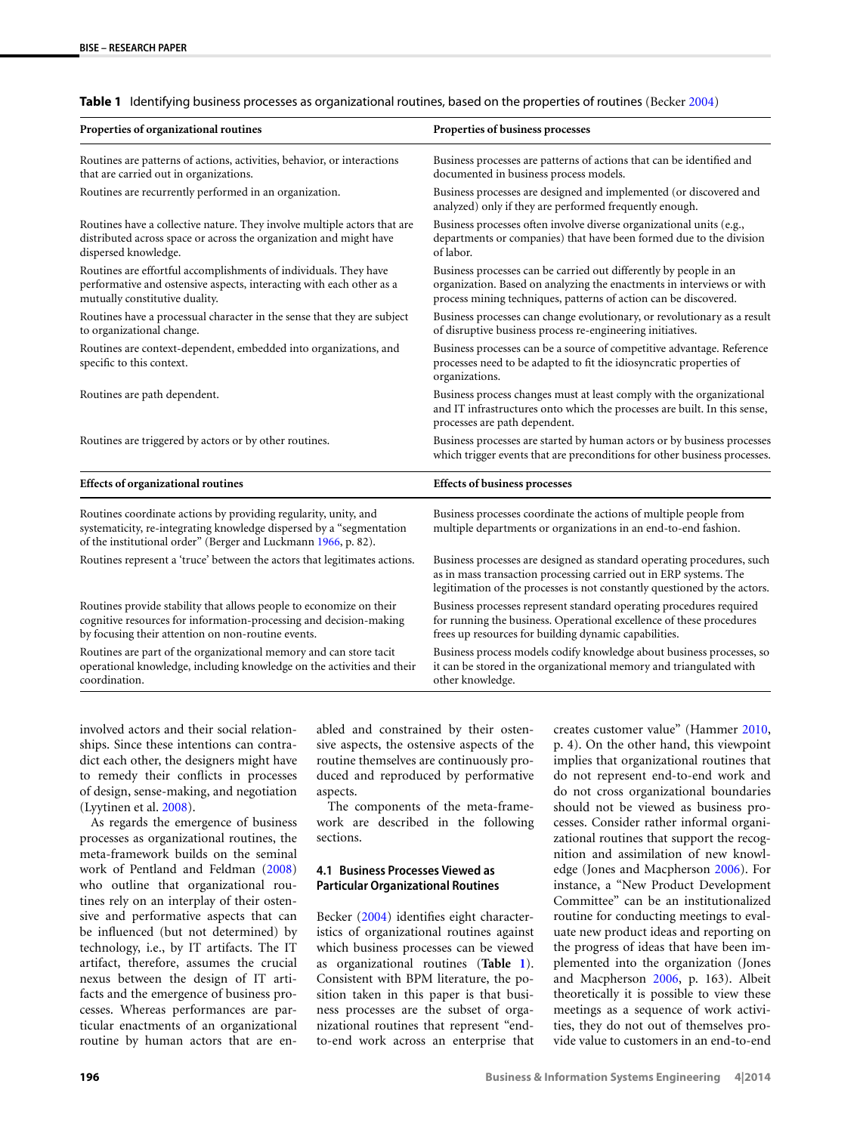| Properties of organizational routines                                                                                                                                                                     | Properties of business processes                                                                                                                                                                                         |
|-----------------------------------------------------------------------------------------------------------------------------------------------------------------------------------------------------------|--------------------------------------------------------------------------------------------------------------------------------------------------------------------------------------------------------------------------|
| Routines are patterns of actions, activities, behavior, or interactions<br>that are carried out in organizations.                                                                                         | Business processes are patterns of actions that can be identified and<br>documented in business process models.                                                                                                          |
| Routines are recurrently performed in an organization.                                                                                                                                                    | Business processes are designed and implemented (or discovered and<br>analyzed) only if they are performed frequently enough.                                                                                            |
| Routines have a collective nature. They involve multiple actors that are<br>distributed across space or across the organization and might have<br>dispersed knowledge.                                    | Business processes often involve diverse organizational units (e.g.,<br>departments or companies) that have been formed due to the division<br>of labor.                                                                 |
| Routines are effortful accomplishments of individuals. They have<br>performative and ostensive aspects, interacting with each other as a<br>mutually constitutive duality.                                | Business processes can be carried out differently by people in an<br>organization. Based on analyzing the enactments in interviews or with<br>process mining techniques, patterns of action can be discovered.           |
| Routines have a processual character in the sense that they are subject<br>to organizational change.                                                                                                      | Business processes can change evolutionary, or revolutionary as a result<br>of disruptive business process re-engineering initiatives.                                                                                   |
| Routines are context-dependent, embedded into organizations, and<br>specific to this context.                                                                                                             | Business processes can be a source of competitive advantage. Reference<br>processes need to be adapted to fit the idiosyncratic properties of<br>organizations.                                                          |
| Routines are path dependent.                                                                                                                                                                              | Business process changes must at least comply with the organizational<br>and IT infrastructures onto which the processes are built. In this sense,<br>processes are path dependent.                                      |
| Routines are triggered by actors or by other routines.                                                                                                                                                    | Business processes are started by human actors or by business processes<br>which trigger events that are preconditions for other business processes.                                                                     |
| <b>Effects of organizational routines</b>                                                                                                                                                                 | <b>Effects of business processes</b>                                                                                                                                                                                     |
| Routines coordinate actions by providing regularity, unity, and<br>systematicity, re-integrating knowledge dispersed by a "segmentation<br>of the institutional order" (Berger and Luckmann 1966, p. 82). | Business processes coordinate the actions of multiple people from<br>multiple departments or organizations in an end-to-end fashion.                                                                                     |
| Routines represent a 'truce' between the actors that legitimates actions.                                                                                                                                 | Business processes are designed as standard operating procedures, such<br>as in mass transaction processing carried out in ERP systems. The<br>legitimation of the processes is not constantly questioned by the actors. |
| Routines provide stability that allows people to economize on their<br>cognitive resources for information-processing and decision-making<br>by focusing their attention on non-routine events.           | Business processes represent standard operating procedures required<br>for running the business. Operational excellence of these procedures<br>frees up resources for building dynamic capabilities.                     |
| Routines are part of the organizational memory and can store tacit<br>operational knowledge, including knowledge on the activities and their                                                              | Business process models codify knowledge about business processes, so<br>it can be stored in the organizational memory and triangulated with                                                                             |

#### <span id="page-5-0"></span>**Table 1** Identifying business processes as organizational routines, based on the properties of routines (Becker [2004\)](#page-9-8)

involved actors and their social relationships. Since these intentions can contradict each other, the designers might have to remedy their conflicts in processes of design, sense-making, and negotiation (Lyytinen et al. [2008\)](#page-10-7).

coordination.

As regards the emergence of business processes as organizational routines, the meta-framework builds on the seminal work of Pentland and Feldman [\(2008](#page-10-3)) who outline that organizational routines rely on an interplay of their ostensive and performative aspects that can be influenced (but not determined) by technology, i.e., by IT artifacts. The IT artifact, therefore, assumes the crucial nexus between the design of IT artifacts and the emergence of business processes. Whereas performances are particular enactments of an organizational routine by human actors that are enabled and constrained by their ostensive aspects, the ostensive aspects of the routine themselves are continuously produced and reproduced by performative aspects.

other knowledge.

The components of the meta-framework are described in the following sections.

## **4.1 Business Processes Viewed as Particular Organizational Routines**

Becker ([2004](#page-9-8)) identifies eight characteristics of organizational routines against which business processes can be viewed as organizational routines (**Table [1](#page-5-0)**). Consistent with BPM literature, the position taken in this paper is that business processes are the subset of organizational routines that represent "endto-end work across an enterprise that creates customer value" (Hammer [2010,](#page-10-8) p. 4). On the other hand, this viewpoint implies that organizational routines that do not represent end-to-end work and do not cross organizational boundaries should not be viewed as business processes. Consider rather informal organizational routines that support the recognition and assimilation of new knowledge (Jones and Macpherson [2006](#page-10-35)). For instance, a "New Product Development Committee" can be an institutionalized routine for conducting meetings to evaluate new product ideas and reporting on the progress of ideas that have been implemented into the organization (Jones and Macpherson [2006](#page-10-35), p. 163). Albeit theoretically it is possible to view these meetings as a sequence of work activities, they do not out of themselves provide value to customers in an end-to-end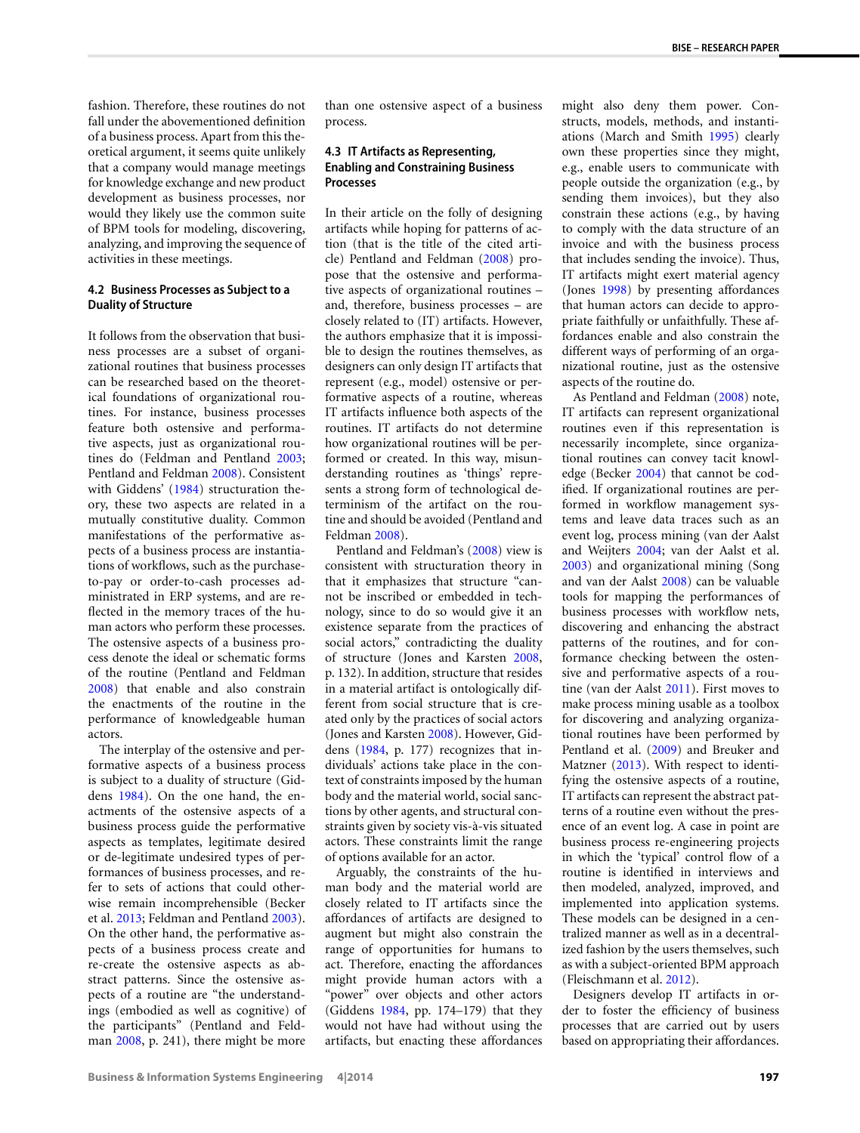fashion. Therefore, these routines do not fall under the abovementioned definition of a business process. Apart from this theoretical argument, it seems quite unlikely that a company would manage meetings for knowledge exchange and new product development as business processes, nor would they likely use the common suite of BPM tools for modeling, discovering, analyzing, and improving the sequence of activities in these meetings.

# **4.2 Business Processes as Subject to a Duality of Structure**

It follows from the observation that business processes are a subset of organizational routines that business processes can be researched based on the theoretical foundations of organizational routines. For instance, business processes feature both ostensive and performative aspects, just as organizational routines do (Feldman and Pentland [2003;](#page-9-10) Pentland and Feldman [2008](#page-10-3)). Consistent with Giddens' ([1984](#page-10-4)) structuration theory, these two aspects are related in a mutually constitutive duality. Common manifestations of the performative aspects of a business process are instantiations of workflows, such as the purchaseto-pay or order-to-cash processes administrated in ERP systems, and are reflected in the memory traces of the human actors who perform these processes. The ostensive aspects of a business process denote the ideal or schematic forms of the routine (Pentland and Feldman [2008\)](#page-10-3) that enable and also constrain the enactments of the routine in the performance of knowledgeable human actors.

The interplay of the ostensive and performative aspects of a business process is subject to a duality of structure (Giddens [1984\)](#page-10-4). On the one hand, the enactments of the ostensive aspects of a business process guide the performative aspects as templates, legitimate desired or de-legitimate undesired types of performances of business processes, and refer to sets of actions that could otherwise remain incomprehensible (Becker et al. [2013](#page-9-2); Feldman and Pentland [2003](#page-9-10)). On the other hand, the performative aspects of a business process create and re-create the ostensive aspects as abstract patterns. Since the ostensive aspects of a routine are "the understandings (embodied as well as cognitive) of the participants" (Pentland and Feldman [2008,](#page-10-3) p. 241), there might be more than one ostensive aspect of a business process.

## **4.3 IT Artifacts as Representing, Enabling and Constraining Business Processes**

In their article on the folly of designing artifacts while hoping for patterns of action (that is the title of the cited article) Pentland and Feldman ([2008](#page-10-3)) propose that the ostensive and performative aspects of organizational routines – and, therefore, business processes – are closely related to (IT) artifacts. However, the authors emphasize that it is impossible to design the routines themselves, as designers can only design IT artifacts that represent (e.g., model) ostensive or performative aspects of a routine, whereas IT artifacts influence both aspects of the routines. IT artifacts do not determine how organizational routines will be performed or created. In this way, misunderstanding routines as 'things' represents a strong form of technological determinism of the artifact on the routine and should be avoided (Pentland and Feldman [2008](#page-10-3)).

Pentland and Feldman's ([2008](#page-10-3)) view is consistent with structuration theory in that it emphasizes that structure "cannot be inscribed or embedded in technology, since to do so would give it an existence separate from the practices of social actors," contradicting the duality of structure (Jones and Karsten [2008,](#page-10-5) p. 132). In addition, structure that resides in a material artifact is ontologically different from social structure that is created only by the practices of social actors (Jones and Karsten [2008\)](#page-10-5). However, Giddens ([1984](#page-10-4), p. 177) recognizes that individuals' actions take place in the context of constraints imposed by the human body and the material world, social sanctions by other agents, and structural constraints given by society vis-à-vis situated actors. These constraints limit the range of options available for an actor.

Arguably, the constraints of the human body and the material world are closely related to IT artifacts since the affordances of artifacts are designed to augment but might also constrain the range of opportunities for humans to act. Therefore, enacting the affordances might provide human actors with a "power" over objects and other actors (Giddens [1984](#page-10-4), pp. 174–179) that they would not have had without using the artifacts, but enacting these affordances might also deny them power. Constructs, models, methods, and instantiations (March and Smith [1995\)](#page-10-33) clearly own these properties since they might, e.g., enable users to communicate with people outside the organization (e.g., by sending them invoices), but they also constrain these actions (e.g., by having to comply with the data structure of an invoice and with the business process that includes sending the invoice). Thus, IT artifacts might exert material agency (Jones [1998](#page-10-36)) by presenting affordances that human actors can decide to appropriate faithfully or unfaithfully. These affordances enable and also constrain the different ways of performing of an organizational routine, just as the ostensive aspects of the routine do.

As Pentland and Feldman ([2008\)](#page-10-3) note, IT artifacts can represent organizational routines even if this representation is necessarily incomplete, since organizational routines can convey tacit knowledge (Becker [2004\)](#page-9-8) that cannot be codified. If organizational routines are performed in workflow management systems and leave data traces such as an event log, process mining (van der Aalst and Weijters [2004](#page-10-37); van der Aalst et al. [2003](#page-10-38)) and organizational mining (Song and van der Aalst [2008](#page-10-39)) can be valuable tools for mapping the performances of business processes with workflow nets, discovering and enhancing the abstract patterns of the routines, and for conformance checking between the ostensive and performative aspects of a routine (van der Aalst [2011](#page-10-40)). First moves to make process mining usable as a toolbox for discovering and analyzing organizational routines have been performed by Pentland et al. ([2009](#page-10-41)) and Breuker and Matzner ([2013\)](#page-9-17). With respect to identifying the ostensive aspects of a routine, IT artifacts can represent the abstract patterns of a routine even without the presence of an event log. A case in point are business process re-engineering projects in which the 'typical' control flow of a routine is identified in interviews and then modeled, analyzed, improved, and implemented into application systems. These models can be designed in a centralized manner as well as in a decentralized fashion by the users themselves, such as with a subject-oriented BPM approach (Fleischmann et al. [2012](#page-9-18)).

Designers develop IT artifacts in order to foster the efficiency of business processes that are carried out by users based on appropriating their affordances.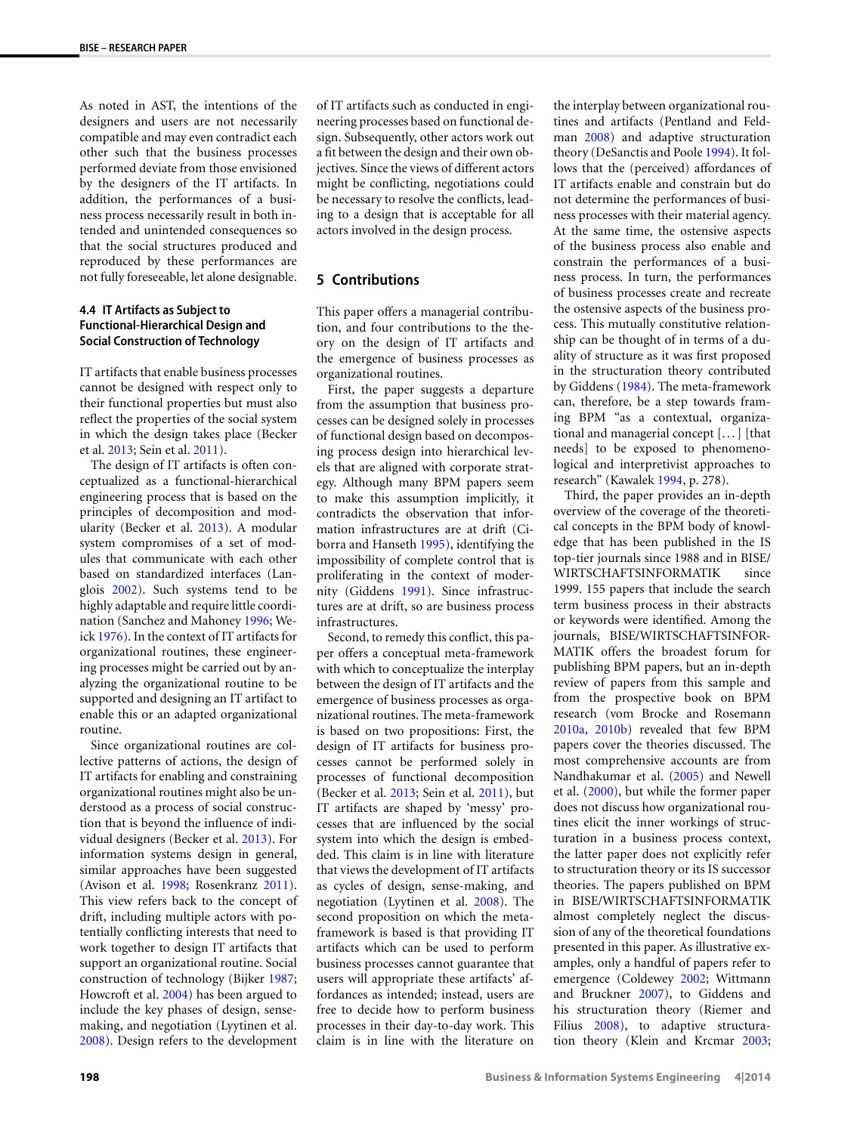As noted in AST, the intentions of the designers and users are not necessarily compatible and may even contradict each other such that the business processes performed deviate from those envisioned by the designers of the IT artifacts. In addition, the performances of a business process necessarily result in both intended and unintended consequences so that the social structures produced and reproduced by these performances are not fully foreseeable, let alone designable.

## **4.4 IT Artifacts as Subject to Functional-Hierarchical Design and Social Construction of Technology**

IT artifacts that enable business processes cannot be designed with respect only to their functional properties but must also reflect the properties of the social system in which the design takes place (Becker et al. [2013](#page-9-2); Sein et al. [2011](#page-10-42)).

The design of IT artifacts is often conceptualized as a functional-hierarchical engineering process that is based on the principles of decomposition and modularity (Becker et al. [2013\)](#page-9-2). A modular system compromises of a set of modules that communicate with each other based on standardized interfaces (Langlois [2002](#page-10-43)). Such systems tend to be highly adaptable and require little coordination (Sanchez and Mahoney [1996](#page-10-44); Weick [1976\)](#page-11-2). In the context of IT artifacts for organizational routines, these engineering processes might be carried out by analyzing the organizational routine to be supported and designing an IT artifact to enable this or an adapted organizational routine.

Since organizational routines are collective patterns of actions, the design of IT artifacts for enabling and constraining organizational routines might also be understood as a process of social construction that is beyond the influence of individual designers (Becker et al. [2013\)](#page-9-2). For information systems design in general, similar approaches have been suggested (Avison et al. [1998;](#page-9-14) Rosenkranz [2011](#page-10-34)). This view refers back to the concept of drift, including multiple actors with potentially conflicting interests that need to work together to design IT artifacts that support an organizational routine. Social construction of technology (Bijker [1987;](#page-9-15) Howcroft et al. [2004](#page-10-45)) has been argued to include the key phases of design, sensemaking, and negotiation (Lyytinen et al. [2008](#page-10-7)). Design refers to the development

<span id="page-7-0"></span>of IT artifacts such as conducted in engineering processes based on functional design. Subsequently, other actors work out a fit between the design and their own objectives. Since the views of different actors might be conflicting, negotiations could be necessary to resolve the conflicts, leading to a design that is acceptable for all actors involved in the design process.

# **5 Contributions**

This paper offers a managerial contribution, and four contributions to the theory on the design of IT artifacts and the emergence of business processes as organizational routines.

First, the paper suggests a departure from the assumption that business processes can be designed solely in processes of functional design based on decomposing process design into hierarchical levels that are aligned with corporate strategy. Although many BPM papers seem to make this assumption implicitly, it contradicts the observation that information infrastructures are at drift (Ciborra and Hanseth [1995\)](#page-9-0), identifying the impossibility of complete control that is proliferating in the context of modernity (Giddens [1991](#page-10-46)). Since infrastructures are at drift, so are business process infrastructures.

Second, to remedy this conflict, this paper offers a conceptual meta-framework with which to conceptualize the interplay between the design of IT artifacts and the emergence of business processes as organizational routines. The meta-framework is based on two propositions: First, the design of IT artifacts for business processes cannot be performed solely in processes of functional decomposition (Becker et al. [2013;](#page-9-2) Sein et al. [2011\)](#page-10-42), but IT artifacts are shaped by 'messy' processes that are influenced by the social system into which the design is embedded. This claim is in line with literature that views the development of IT artifacts as cycles of design, sense-making, and negotiation (Lyytinen et al. [2008](#page-10-7)). The second proposition on which the metaframework is based is that providing IT artifacts which can be used to perform business processes cannot guarantee that users will appropriate these artifacts' affordances as intended; instead, users are free to decide how to perform business processes in their day-to-day work. This claim is in line with the literature on

the interplay between organizational routines and artifacts (Pentland and Feldman [2008](#page-10-3)) and adaptive structuration theory (DeSanctis and Poole [1994](#page-9-1)). It follows that the (perceived) affordances of IT artifacts enable and constrain but do not determine the performances of business processes with their material agency. At the same time, the ostensive aspects of the business process also enable and constrain the performances of a business process. In turn, the performances of business processes create and recreate the ostensive aspects of the business process. This mutually constitutive relationship can be thought of in terms of a duality of structure as it was first proposed in the structuration theory contributed by Giddens [\(1984](#page-10-4)). The meta-framework can, therefore, be a step towards framing BPM "as a contextual, organizational and managerial concept [. . . ] [that needs] to be exposed to phenomenological and interpretivist approaches to research" (Kawalek [1994](#page-10-10), p. 278).

Third, the paper provides an in-depth overview of the coverage of the theoretical concepts in the BPM body of knowledge that has been published in the IS top-tier journals since 1988 and in BISE/ WIRTSCHAFTSINFORMATIK since 1999. 155 papers that include the search term business process in their abstracts or keywords were identified. Among the journals, BISE/WIRTSCHAFTSINFOR-MATIK offers the broadest forum for publishing BPM papers, but an in-depth review of papers from this sample and from the prospective book on BPM research (vom Brocke and Rosemann [2010a](#page-10-24), [2010b\)](#page-10-25) revealed that few BPM papers cover the theories discussed. The most comprehensive accounts are from Nandhakumar et al. ([2005\)](#page-10-17) and Newell et al. ([2000\)](#page-10-30), but while the former paper does not discuss how organizational routines elicit the inner workings of structuration in a business process context, the latter paper does not explicitly refer to structuration theory or its IS successor theories. The papers published on BPM in BISE/WIRTSCHAFTSINFORMATIK almost completely neglect the discussion of any of the theoretical foundations presented in this paper. As illustrative examples, only a handful of papers refer to emergence (Coldewey [2002;](#page-9-19) Wittmann and Bruckner [2007\)](#page-11-4), to Giddens and his structuration theory (Riemer and Filius [2008](#page-10-47)), to adaptive structuration theory (Klein and Krcmar [2003;](#page-10-48)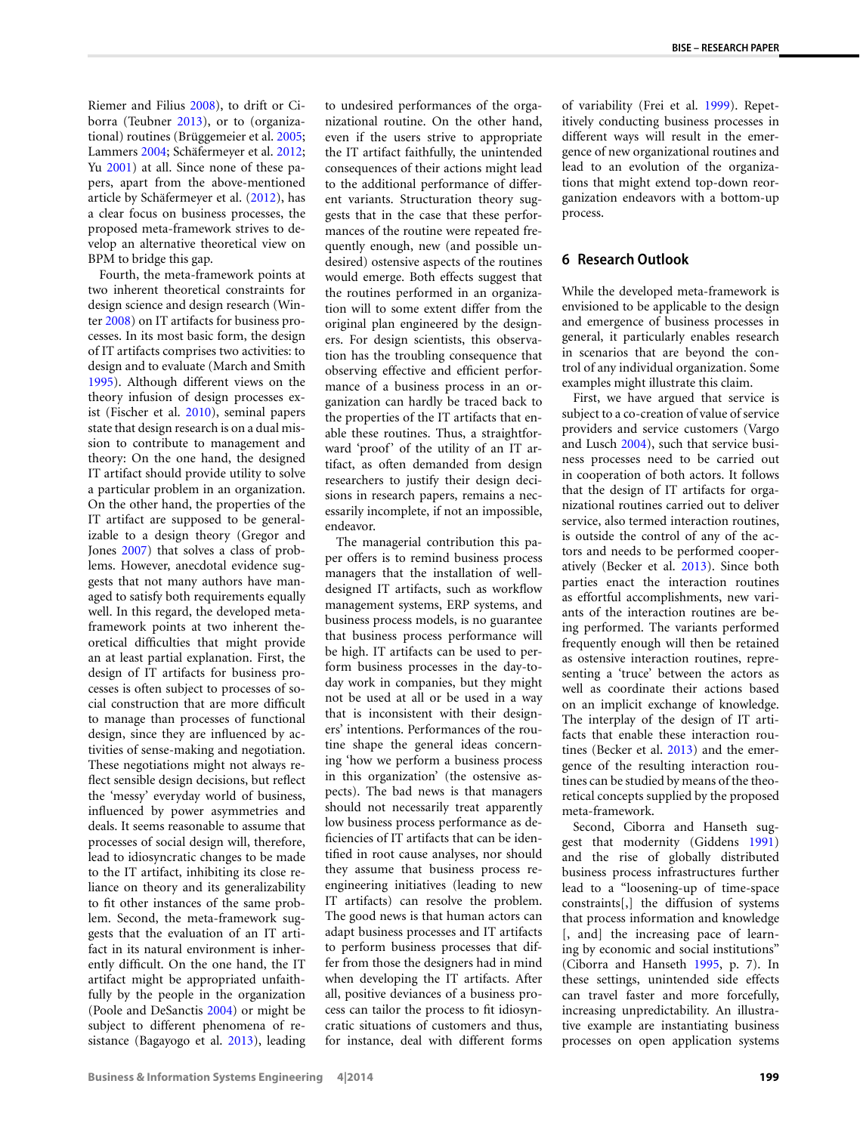Riemer and Filius [2008\)](#page-10-47), to drift or Ciborra (Teubner [2013\)](#page-10-49), or to (organizational) routines (Brüggemeier et al. [2005;](#page-9-20) Lammers [2004;](#page-10-50) Schäfermeyer et al. [2012;](#page-10-31) Yu [2001](#page-11-5)) at all. Since none of these papers, apart from the above-mentioned article by Schäfermeyer et al. ([2012\)](#page-10-31), has a clear focus on business processes, the proposed meta-framework strives to develop an alternative theoretical view on BPM to bridge this gap.

Fourth, the meta-framework points at two inherent theoretical constraints for design science and design research (Winter [2008](#page-11-6)) on IT artifacts for business processes. In its most basic form, the design of IT artifacts comprises two activities: to design and to evaluate (March and Smith [1995\)](#page-10-33). Although different views on the theory infusion of design processes exist (Fischer et al. [2010\)](#page-9-21), seminal papers state that design research is on a dual mission to contribute to management and theory: On the one hand, the designed IT artifact should provide utility to solve a particular problem in an organization. On the other hand, the properties of the IT artifact are supposed to be generalizable to a design theory (Gregor and Jones [2007\)](#page-10-51) that solves a class of problems. However, anecdotal evidence suggests that not many authors have managed to satisfy both requirements equally well. In this regard, the developed metaframework points at two inherent theoretical difficulties that might provide an at least partial explanation. First, the design of IT artifacts for business processes is often subject to processes of social construction that are more difficult to manage than processes of functional design, since they are influenced by activities of sense-making and negotiation. These negotiations might not always reflect sensible design decisions, but reflect the 'messy' everyday world of business, influenced by power asymmetries and deals. It seems reasonable to assume that processes of social design will, therefore, lead to idiosyncratic changes to be made to the IT artifact, inhibiting its close reliance on theory and its generalizability to fit other instances of the same problem. Second, the meta-framework suggests that the evaluation of an IT artifact in its natural environment is inherently difficult. On the one hand, the IT artifact might be appropriated unfaithfully by the people in the organization (Poole and DeSanctis [2004\)](#page-10-52) or might be subject to different phenomena of resistance (Bagayogo et al. [2013\)](#page-9-5), leading to undesired performances of the organizational routine. On the other hand, even if the users strive to appropriate the IT artifact faithfully, the unintended consequences of their actions might lead to the additional performance of different variants. Structuration theory suggests that in the case that these performances of the routine were repeated frequently enough, new (and possible undesired) ostensive aspects of the routines would emerge. Both effects suggest that the routines performed in an organization will to some extent differ from the original plan engineered by the designers. For design scientists, this observation has the troubling consequence that observing effective and efficient performance of a business process in an organization can hardly be traced back to the properties of the IT artifacts that enable these routines. Thus, a straightforward 'proof' of the utility of an IT artifact, as often demanded from design researchers to justify their design decisions in research papers, remains a necessarily incomplete, if not an impossible, endeavor.

The managerial contribution this paper offers is to remind business process managers that the installation of welldesigned IT artifacts, such as workflow management systems, ERP systems, and business process models, is no guarantee that business process performance will be high. IT artifacts can be used to perform business processes in the day-today work in companies, but they might not be used at all or be used in a way that is inconsistent with their designers' intentions. Performances of the routine shape the general ideas concerning 'how we perform a business process in this organization' (the ostensive aspects). The bad news is that managers should not necessarily treat apparently low business process performance as deficiencies of IT artifacts that can be identified in root cause analyses, nor should they assume that business process reengineering initiatives (leading to new IT artifacts) can resolve the problem. The good news is that human actors can adapt business processes and IT artifacts to perform business processes that differ from those the designers had in mind when developing the IT artifacts. After all, positive deviances of a business process can tailor the process to fit idiosyncratic situations of customers and thus, for instance, deal with different forms

<span id="page-8-0"></span>of variability (Frei et al. [1999\)](#page-10-53). Repetitively conducting business processes in different ways will result in the emergence of new organizational routines and lead to an evolution of the organizations that might extend top-down reorganization endeavors with a bottom-up process.

# **6 Research Outlook**

While the developed meta-framework is envisioned to be applicable to the design and emergence of business processes in general, it particularly enables research in scenarios that are beyond the control of any individual organization. Some examples might illustrate this claim.

First, we have argued that service is subject to a co-creation of value of service providers and service customers (Vargo and Lusch [2004](#page-10-54)), such that service business processes need to be carried out in cooperation of both actors. It follows that the design of IT artifacts for organizational routines carried out to deliver service, also termed interaction routines, is outside the control of any of the actors and needs to be performed cooperatively (Becker et al. [2013](#page-9-2)). Since both parties enact the interaction routines as effortful accomplishments, new variants of the interaction routines are being performed. The variants performed frequently enough will then be retained as ostensive interaction routines, representing a 'truce' between the actors as well as coordinate their actions based on an implicit exchange of knowledge. The interplay of the design of IT artifacts that enable these interaction routines (Becker et al. [2013](#page-9-2)) and the emergence of the resulting interaction routines can be studied by means of the theoretical concepts supplied by the proposed meta-framework.

Second, Ciborra and Hanseth suggest that modernity (Giddens [1991\)](#page-10-46) and the rise of globally distributed business process infrastructures further lead to a "loosening-up of time-space constraints[,] the diffusion of systems that process information and knowledge [, and] the increasing pace of learning by economic and social institutions" (Ciborra and Hanseth [1995](#page-9-0), p. 7). In these settings, unintended side effects can travel faster and more forcefully, increasing unpredictability. An illustrative example are instantiating business processes on open application systems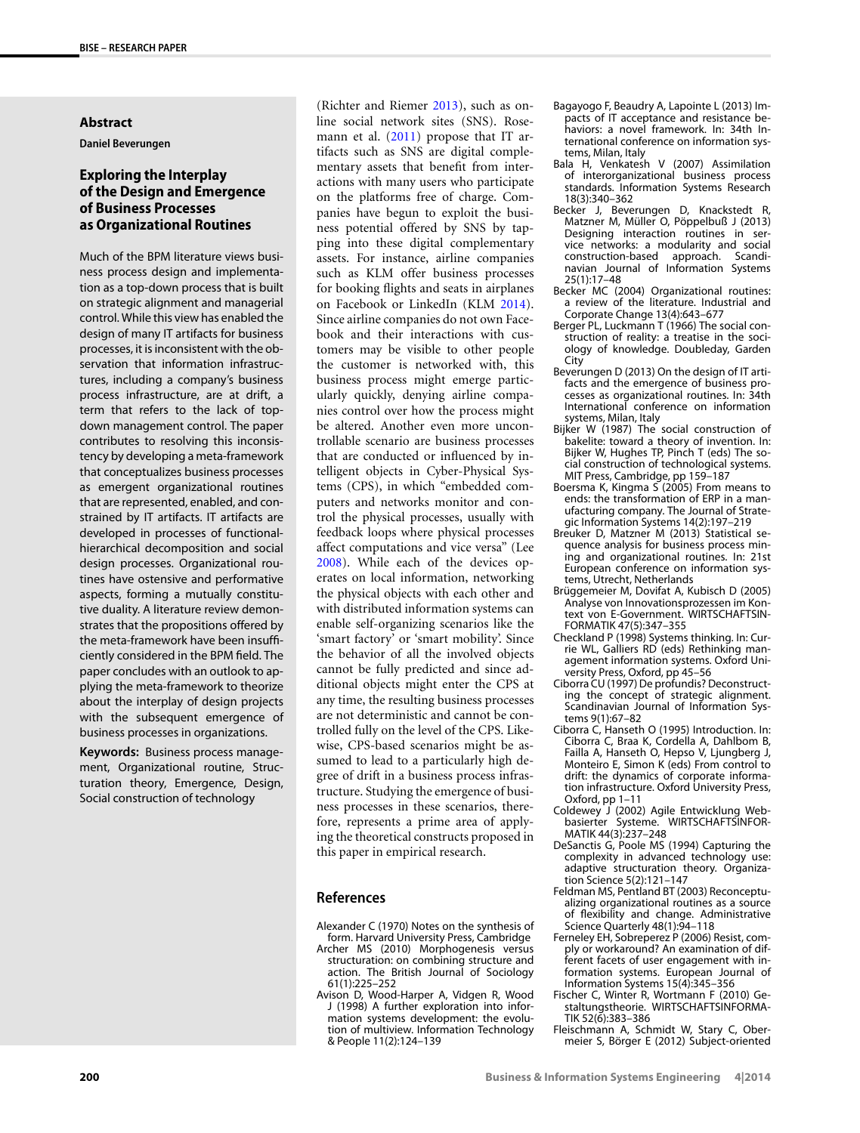### **Abstract**

**Daniel Beverungen**

# **Exploring the Interplay of the Design and Emergence of Business Processes as Organizational Routines**

Much of the BPM literature views business process design and implementation as a top-down process that is built on strategic alignment and managerial control. While this view has enabled the design of many IT artifacts for business processes, it is inconsistent with the observation that information infrastructures, including a company's business process infrastructure, are at drift, a term that refers to the lack of topdown management control. The paper contributes to resolving this inconsistency by developing a meta-framework that conceptualizes business processes as emergent organizational routines that are represented, enabled, and constrained by IT artifacts. IT artifacts are developed in processes of functionalhierarchical decomposition and social design processes. Organizational routines have ostensive and performative aspects, forming a mutually constitutive duality. A literature review demonstrates that the propositions offered by the meta-framework have been insufficiently considered in the BPM field. The paper concludes with an outlook to applying the meta-framework to theorize about the interplay of design projects with the subsequent emergence of business processes in organizations.

**Keywords:** Business process management, Organizational routine, Structuration theory, Emergence, Design, Social construction of technology

(Richter and Riemer [2013\)](#page-10-55), such as online social network sites (SNS). Rosemann et al. ([2011](#page-10-56)) propose that IT artifacts such as SNS are digital complementary assets that benefit from interactions with many users who participate on the platforms free of charge. Companies have begun to exploit the business potential offered by SNS by tapping into these digital complementary assets. For instance, airline companies such as KLM offer business processes for booking flights and seats in airplanes on Facebook or LinkedIn (KLM [2014](#page-10-57)). Since airline companies do not own Facebook and their interactions with customers may be visible to other people the customer is networked with, this business process might emerge particularly quickly, denying airline companies control over how the process might be altered. Another even more uncontrollable scenario are business processes that are conducted or influenced by intelligent objects in Cyber-Physical Systems (CPS), in which "embedded computers and networks monitor and control the physical processes, usually with feedback loops where physical processes affect computations and vice versa" (Lee [2008](#page-10-58)). While each of the devices operates on local information, networking the physical objects with each other and with distributed information systems can enable self-organizing scenarios like the 'smart factory' or 'smart mobility'. Since the behavior of all the involved objects cannot be fully predicted and since additional objects might enter the CPS at any time, the resulting business processes are not deterministic and cannot be controlled fully on the level of the CPS. Likewise, CPS-based scenarios might be assumed to lead to a particularly high degree of drift in a business process infrastructure. Studying the emergence of business processes in these scenarios, therefore, represents a prime area of applying the theoretical constructs proposed in this paper in empirical research.

# <span id="page-9-14"></span><span id="page-9-13"></span><span id="page-9-6"></span>**References**

- Alexander C (1970) Notes on the synthesis of form. Harvard University Press, Cambridge
- Archer MS (2010) Morphogenesis versus structuration: on combining structure and action. The British Journal of Sociology 61(1):225–252
- Avison D, Wood-Harper A, Vidgen R, Wood J (1998) A further exploration into information systems development: the evolution of multiview. Information Technology & People 11(2):124–139
- <span id="page-9-12"></span><span id="page-9-5"></span><span id="page-9-2"></span>Bagayogo F, Beaudry A, Lapointe L (2013) Impacts of IT acceptance and resistance behaviors: a novel framework. In: 34th International conference on information systems, Milan, Italy
- <span id="page-9-8"></span>Bala H, Venkatesh V (2007) Assimilation of interorganizational business process standards. Information Systems Research 18(3):340–362
- <span id="page-9-16"></span><span id="page-9-9"></span>Becker J, Beverungen D, Knackstedt R, Matzner M, Müller O, Pöppelbuß J (2013) Designing interaction routines in service networks: a modularity and social<br>construction-based approach. Scandiconstruction-based navian Journal of Information Systems 25(1):17–48
- <span id="page-9-15"></span>Becker MC (2004) Organizational routines: a review of the literature. Industrial and Corporate Change 13(4):643–677
- Berger PL, Luckmann T (1966) The social construction of reality: a treatise in the sociology of knowledge. Doubleday, Garden City
- <span id="page-9-11"></span>Beverungen D (2013) On the design of IT artifacts and the emergence of business processes as organizational routines. In: 34th International conference on information systems, Milan, Italy
- <span id="page-9-17"></span>Bijker W (1987) The social construction of bakelite: toward a theory of invention. In: Bijker W, Hughes TP, Pinch T (eds) The social construction of technological systems. MIT Press, Cambridge, pp 159–187
- <span id="page-9-20"></span><span id="page-9-7"></span>Boersma K, Kingma  $\overline{S}$  (2005) From means to ends: the transformation of ERP in a manufacturing company. The Journal of Strategic Information Systems 14(2):197–219
- <span id="page-9-3"></span>Breuker D, Matzner M (2013) Statistical sequence analysis for business process mining and organizational routines. In: 21st European conference on information systems, Utrecht, Netherlands
- <span id="page-9-0"></span>Brüggemeier M, Dovifat A, Kubisch D (2005) Analyse von Innovationsprozessen im Kontext von E-Government. WIRTSCHAFTSIN-FORMATIK 47(5):347–355
- Checkland P (1998) Systems thinking. In: Currie WL, Galliers RD (eds) Rethinking management information systems. Oxford University Press, Oxford, pp 45–56
- <span id="page-9-19"></span>Ciborra CU (1997) De profundis? Deconstructing the concept of strategic alignment. Scandinavian Journal of Information Systems 9(1):67–82
- <span id="page-9-10"></span><span id="page-9-1"></span>Ciborra C, Hanseth O (1995) Introduction. In: Ciborra C, Braa K, Cordella A, Dahlbom B, Failla A, Hanseth O, Hepso V, Ljungberg J, Monteiro E, Simon K (eds) From control to drift: the dynamics of corporate information infrastructure. Oxford University Press, Oxford, pp 1–11
- <span id="page-9-4"></span>Coldewey J (2002) Agile Entwicklung Webbasierter Systeme. WIRTSCHAFTSINFOR-MATIK 44(3):237–248
- <span id="page-9-21"></span>DeSanctis G, Poole MS (1994) Capturing the complexity in advanced technology use: adaptive structuration theory. Organization Science 5(2):121–147
- <span id="page-9-18"></span>Feldman MS, Pentland BT (2003) Reconceptualizing organizational routines as a source of flexibility and change. Administrative Science Quarterly 48(1):94-118
- Ferneley EH, Sobreperez P (2006) Resist, comply or workaround? An examination of different facets of user engagement with information systems. European Journal of Information Systems 15(4):345–356
- Fischer C, Winter R, Wortmann F (2010) Gestaltungstheorie. WIRTSCHAFTSINFORMA-TIK 52(6):383–386
- Fleischmann A, Schmidt W, Stary C, Obermeier S, Börger E (2012) Subject-oriented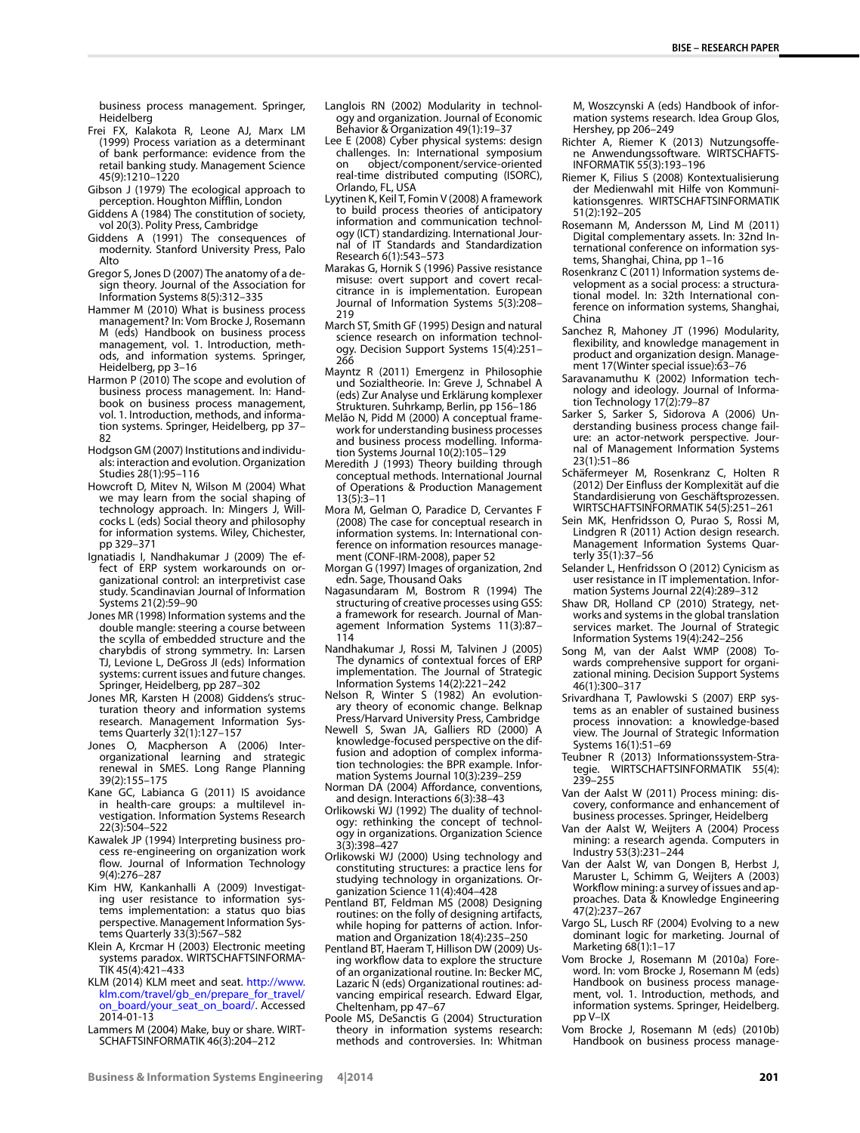<span id="page-10-53"></span><span id="page-10-21"></span>business process management. Springer, Heidelberg

- <span id="page-10-51"></span><span id="page-10-46"></span><span id="page-10-4"></span>Frei FX, Kalakota R, Leone AJ, Marx LM (1999) Process variation as a determinant of bank performance: evidence from the retail banking study. Management Science 45(9):1210–1220
- <span id="page-10-8"></span>Gibson J (1979) The ecological approach to perception. Houghton Mifflin, London
- Giddens A (1984) The constitution of society, vol 20(3). Polity Press, Cambridge
- <span id="page-10-9"></span>Giddens A (1991) The consequences of modernity. Stanford University Press, Palo Alto
- Gregor S, Jones D (2007) The anatomy of a design theory. Journal of the Association for Information Systems 8(5):312–335
- <span id="page-10-19"></span>Hammer M (2010) What is business process management? In: Vom Brocke J, Rosemann M (eds) Handbook on business process management, vol. 1. Introduction, methods, and information systems. Springer, Heidelberg, pp 3–16
- <span id="page-10-45"></span>Harmon P (2010) The scope and evolution of business process management. In: Handbook on business process management, vol. 1. Introduction, methods, and information systems. Springer, Heidelberg, pp 37– 82
- <span id="page-10-12"></span>Hodgson GM (2007) Institutions and individuals: interaction and evolution. Organization Studies 28(1):95–116
- <span id="page-10-36"></span>Howcroft D, Mitev N, Wilson M (2004) What we may learn from the social shaping of technology approach. In: Mingers J, Willcocks L (eds) Social theory and philosophy for information systems. Wiley, Chichester, pp 329–371
- <span id="page-10-5"></span>Ignatiadis I, Nandhakumar J (2009) The effect of ERP system workarounds on organizational control: an interpretivist case study. Scandinavian Journal of Information Systems 21(2):59–90
- <span id="page-10-35"></span>Jones MR (1998) Information systems and the double mangle: steering a course between the scylla of embedded structure and the charybdis of strong symmetry. In: Larsen TJ, Levione L, DeGross JI (eds) Information systems: current issues and future changes. Springer, Heidelberg, pp 287–302
- <span id="page-10-15"></span><span id="page-10-10"></span>Jones MR, Karsten H (2008) Giddens's structuration theory and information systems research. Management Information Systems Quarterly 32(1):127–157
- <span id="page-10-14"></span>Jones O, Macpherson A (2006) Interorganizational learning and strategic renewal in SMES. Long Range Planning 39(2):155–175
- Kane GC, Labianca G (2011) IS avoidance in health-care groups: a multilevel investigation. Information Systems Research 22(3):504–522
- <span id="page-10-57"></span><span id="page-10-48"></span>Kawalek JP (1994) Interpreting business process re-engineering on organization work flow. Journal of Information Technology 9(4):276–287
- <span id="page-10-50"></span>Kim HW, Kankanhalli A (2009) Investigating user resistance to information systems implementation: a status quo bias perspective. Management Information Systems Quarterly 33(3):567–582
- Klein A, Krcmar H (2003) Electronic meeting systems paradox. WIRTSCHAFTSINFORMA-TIK 45(4):421–433
- KLM (2014) KLM meet and seat. [http://www.](http://www.klm.com/travel/gb_en/prepare_for_travel/on_board/your_seat_on_board/) [klm.com/travel/gb\\_en/prepare\\_for\\_travel/](http://www.klm.com/travel/gb_en/prepare_for_travel/on_board/your_seat_on_board/) [on\\_board/your\\_seat\\_on\\_board/](http://www.klm.com/travel/gb_en/prepare_for_travel/on_board/your_seat_on_board/). Accessed 2014-01-13
- Lammers M (2004) Make, buy or share. WIRT-SCHAFTSINFORMATIK 46(3):204–212
- <span id="page-10-58"></span><span id="page-10-43"></span><span id="page-10-7"></span>Langlois RN (2002) Modularity in technology and organization. Journal of Economic Behavior & Organization 49(1):19–37
- <span id="page-10-13"></span>Lee E (2008) Cyber physical systems: design challenges. In: International symposium on object/component/service-oriented real-time distributed computing (ISORC), Orlando, FL, USA
- <span id="page-10-33"></span>Lyytinen K, Keil T, Fomin V (2008) A framework to build process theories of anticipatory information and communication technology (ICT) standardizing. International Journal of IT Standards and Standardization Research 6(1):543–573
- <span id="page-10-18"></span><span id="page-10-0"></span>Marakas G, Hornik S (1996) Passive resistance misuse: overt support and covert recalcitrance in is implementation. European Journal of Information Systems 5(3):208– 219
- <span id="page-10-2"></span>March ST, Smith GF (1995) Design and natural science research on information technology. Decision Support Systems 15(4):251– 266
- <span id="page-10-1"></span>Mayntz R (2011) Emergenz in Philosophie und Sozialtheorie. In: Greve J, Schnabel A (eds) Zur Analyse und Erklärung komplexer Strukturen. Suhrkamp, Berlin, pp 156–186
- <span id="page-10-11"></span>Melão N, Pidd M (2000) A conceptual framework for understanding business processes and business process modelling. Information Systems Journal 10(2):105–129
- <span id="page-10-27"></span>Meredith J (1993) Theory building through conceptual methods. International Journal of Operations & Production Management 13(5):3–11
- <span id="page-10-17"></span>Mora M, Gelman O, Paradice D, Cervantes F (2008) The case for conceptual research in information systems. In: International conference on information resources management (CONF-IRM-2008), paper 52
- <span id="page-10-23"></span>Morgan G (1997) Images of organization, 2nd edn. Sage, Thousand Oaks
- <span id="page-10-30"></span>Nagasundaram M, Bostrom R (1994) The structuring of creative processes using GSS: a framework for research. Journal of Management Information Systems 11(3):87– 114
- <span id="page-10-22"></span>Nandhakumar J, Rossi M, Talvinen J (2005) The dynamics of contextual forces of ERP implementation. The Journal of Strategic Information Systems 14(2):221–242
- <span id="page-10-20"></span>Nelson R, Winter S (1982) An evolutionary theory of economic change. Belknap Press/Harvard University Press, Cambridge
- <span id="page-10-6"></span>Newell S, Swan JA, Galliers RD (2000) A knowledge-focused perspective on the diffusion and adoption of complex information technologies: the BPR example. Information Systems Journal 10(3):239–259
- <span id="page-10-3"></span>Norman DA (2004) Affordance, conventions, and design. Interactions 6(3):38–43
- <span id="page-10-41"></span>Orlikowski WJ (1992) The duality of technology: rethinking the concept of technology in organizations. Organization Science 3(3):398–427
- Orlikowski WJ (2000) Using technology and constituting structures: a practice lens for studying technology in organizations. Organization Science 11(4):404–428
- <span id="page-10-52"></span>Pentland BT, Feldman MS (2008) Designing routines: on the folly of designing artifacts, while hoping for patterns of action. Information and Organization 18(4):235–250
- Pentland BT, Haeram T, Hillison DW (2009) Using workflow data to explore the structure of an organizational routine. In: Becker MC, Lazaric N (eds) Organizational routines: advancing empirical research. Edward Elgar, Cheltenham, pp 47–67
- Poole MS, DeSanctis G (2004) Structuration theory in information systems research: methods and controversies. In: Whitman

<span id="page-10-56"></span><span id="page-10-55"></span><span id="page-10-47"></span>M, Woszcynski A (eds) Handbook of information systems research. Idea Group Glos, Hershey, pp 206–249

- <span id="page-10-34"></span>Richter A, Riemer K (2013) Nutzungsoffene Anwendungssoftware. WIRTSCHAFTS-INFORMATIK 55(3):193–196
- Riemer K, Filius S (2008) Kontextualisierung der Medienwahl mit Hilfe von Kommunikationsgenres. WIRTSCHAFTSINFORMATIK 51(2):192–205
- <span id="page-10-44"></span>Rosemann M, Andersson M, Lind M (2011) Digital complementary assets. In: 32nd International conference on information systems, Shanghai, China, pp 1–16
- <span id="page-10-32"></span><span id="page-10-26"></span>Rosenkranz C (2011) Information systems development as a social process: a structurational model. In: 32th International conference on information systems, Shanghai, China
- <span id="page-10-31"></span>Sanchez R, Mahoney JT (1996) Modularity, flexibility, and knowledge management in product and organization design. Management 17(Winter special issue):63–76
- <span id="page-10-42"></span>Saravanamuthu K (2002) Information technology and ideology. Journal of Information Technology 17(2):79–87
- <span id="page-10-16"></span>Sarker S, Sarker S, Sidorova A (2006) Understanding business process change failure: an actor-network perspective. Journal of Management Information Systems 23(1):51–86
- <span id="page-10-29"></span>Schäfermeyer M, Rosenkranz C, Holten R (2012) Der Einfluss der Komplexität auf die Standardisierung von Geschäftsprozessen. WIRTSCHAFTSINFORMATIK 54(5):251–261
- <span id="page-10-39"></span>Sein MK, Henfridsson O, Purao S, Rossi M, Lindgren R (2011) Action design research. Management Information Systems Quarterly 35(1):37–56
- <span id="page-10-28"></span>Selander L, Henfridsson O (2012) Cynicism as user resistance in IT implementation. Information Systems Journal 22(4):289–312
- Shaw DR, Holland CP (2010) Strategy, networks and systems in the global translation services market. The Journal of Strategic Information Systems 19(4):242–256
- <span id="page-10-49"></span><span id="page-10-40"></span>Song M, van der Aalst WMP (2008) Towards comprehensive support for organizational mining. Decision Support Systems 46(1):300–317
- <span id="page-10-37"></span>Srivardhana T, Pawlowski S (2007) ERP systems as an enabler of sustained business process innovation: a knowledge-based view. The Journal of Strategic Information Systems 16(1):51–69
- <span id="page-10-38"></span>Teubner R (2013) Informationssystem-Strategie. WIRTSCHAFTSINFORMATIK 55(4): 239–255
- <span id="page-10-54"></span>Van der Aalst W (2011) Process mining: discovery, conformance and enhancement of business processes. Springer, Heidelberg
- <span id="page-10-24"></span>Van der Aalst W, Weijters A (2004) Process mining: a research agenda. Computers in Industry 53(3):231–244
- Van der Aalst W, van Dongen B, Herbst J, Maruster L, Schimm G, Weijters A (2003) Workflow mining: a survey of issues and approaches. Data & Knowledge Engineering 47(2):237–267
- <span id="page-10-25"></span>Vargo SL, Lusch RF (2004) Evolving to a new dominant logic for marketing. Journal of Marketing 68(1):1–17
- Vom Brocke J, Rosemann M (2010a) Foreword. In: vom Brocke J, Rosemann M (eds) Handbook on business process management, vol. 1. Introduction, methods, and information systems. Springer, Heidelberg. pp V–IX
- Vom Brocke J, Rosemann M (eds) (2010b) Handbook on business process manage-